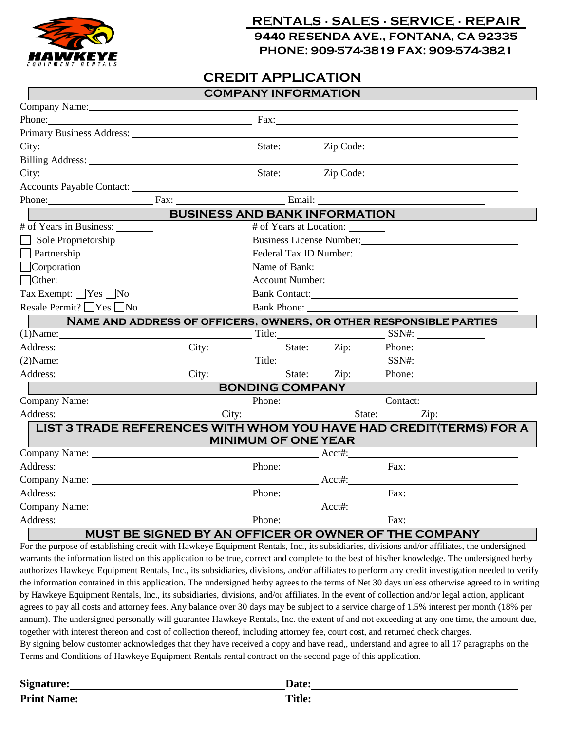

## **RENTALS ∙ SALES ∙ SERVICE ∙ REPAIR 9440 RESENDA AVE., FONTANA, CA 92335 PHONE: 909-574-3819 FAX: 909-574-3821**

## **CREDIT APPLICATION**

|                                                                                                                                                                                                                                |                                                                                                                                                                                                                                     | <b>COMPANY INFORMATION</b> |  |                                                                                                                                                                                                                               |  |
|--------------------------------------------------------------------------------------------------------------------------------------------------------------------------------------------------------------------------------|-------------------------------------------------------------------------------------------------------------------------------------------------------------------------------------------------------------------------------------|----------------------------|--|-------------------------------------------------------------------------------------------------------------------------------------------------------------------------------------------------------------------------------|--|
| Company Name: Name Company Name Company Name Company Name Company Name Company Name Company of the Company of the Company of the Company of the Company of the Company of the Company of the Company of the Company of the Com |                                                                                                                                                                                                                                     |                            |  |                                                                                                                                                                                                                               |  |
| Phone: Fax: Fax:                                                                                                                                                                                                               |                                                                                                                                                                                                                                     |                            |  |                                                                                                                                                                                                                               |  |
| Primary Business Address: National Primary Business Address:                                                                                                                                                                   |                                                                                                                                                                                                                                     |                            |  |                                                                                                                                                                                                                               |  |
|                                                                                                                                                                                                                                |                                                                                                                                                                                                                                     |                            |  |                                                                                                                                                                                                                               |  |
|                                                                                                                                                                                                                                |                                                                                                                                                                                                                                     |                            |  |                                                                                                                                                                                                                               |  |
|                                                                                                                                                                                                                                |                                                                                                                                                                                                                                     |                            |  |                                                                                                                                                                                                                               |  |
| Accounts Payable Contact:                                                                                                                                                                                                      |                                                                                                                                                                                                                                     |                            |  |                                                                                                                                                                                                                               |  |
| Phone: Fax: Fax: Email: Email:                                                                                                                                                                                                 |                                                                                                                                                                                                                                     |                            |  |                                                                                                                                                                                                                               |  |
|                                                                                                                                                                                                                                |                                                                                                                                                                                                                                     |                            |  | <b>BUSINESS AND BANK INFORMATION</b>                                                                                                                                                                                          |  |
| $\#$ of Years in Business:                                                                                                                                                                                                     | # of Years at Location:                                                                                                                                                                                                             |                            |  |                                                                                                                                                                                                                               |  |
| $\Box$ Sole Proprietorship                                                                                                                                                                                                     | Business License Number:                                                                                                                                                                                                            |                            |  |                                                                                                                                                                                                                               |  |
| $\Box$ Partnership                                                                                                                                                                                                             | Federal Tax ID Number:                                                                                                                                                                                                              |                            |  |                                                                                                                                                                                                                               |  |
| $\Box$ Corporation                                                                                                                                                                                                             | Name of Bank:                                                                                                                                                                                                                       |                            |  |                                                                                                                                                                                                                               |  |
| $\Box$ Other: $\Box$                                                                                                                                                                                                           | Account Number: New York Changes and Second Number                                                                                                                                                                                  |                            |  |                                                                                                                                                                                                                               |  |
| Tax Exempt: $\Box$ Yes $\Box$ No                                                                                                                                                                                               | Bank Contact:                                                                                                                                                                                                                       |                            |  |                                                                                                                                                                                                                               |  |
| Resale Permit? $\bigcap$ Yes $\bigcap$ No                                                                                                                                                                                      |                                                                                                                                                                                                                                     |                            |  | Bank Phone:                                                                                                                                                                                                                   |  |
|                                                                                                                                                                                                                                |                                                                                                                                                                                                                                     |                            |  | NAME AND ADDRESS OF OFFICERS, OWNERS, OR OTHER RESPONSIBLE PARTIES                                                                                                                                                            |  |
| $(T)$ Name: SSN#: SSN#:                                                                                                                                                                                                        |                                                                                                                                                                                                                                     |                            |  |                                                                                                                                                                                                                               |  |
| Address: _________________________City: _________________State: _____Zip: ______Phone: _____________                                                                                                                           |                                                                                                                                                                                                                                     |                            |  |                                                                                                                                                                                                                               |  |
| (2) Name: SSN#: SSN#:                                                                                                                                                                                                          |                                                                                                                                                                                                                                     |                            |  |                                                                                                                                                                                                                               |  |
|                                                                                                                                                                                                                                |                                                                                                                                                                                                                                     |                            |  |                                                                                                                                                                                                                               |  |
|                                                                                                                                                                                                                                | <u> Andrew Maria (1989)</u>                                                                                                                                                                                                         | <b>BONDING COMPANY</b>     |  |                                                                                                                                                                                                                               |  |
| Company Name: Company Name: Company Name: Company Name: Company Name:                                                                                                                                                          |                                                                                                                                                                                                                                     |                            |  |                                                                                                                                                                                                                               |  |
| Address:                                                                                                                                                                                                                       |                                                                                                                                                                                                                                     |                            |  | City: City: City: City: City: City: City: City: City: City: City: City: City: City: City: City: City: City: City: City: City: City: City: City: City: City: City: City: City: City: City: City: City: City: City: City: City: |  |
| LIST 3 TRADE REFERENCES WITH WHOM YOU HAVE HAD CREDIT(TERMS) FOR A                                                                                                                                                             |                                                                                                                                                                                                                                     | <b>MINIMUM OF ONE YEAR</b> |  |                                                                                                                                                                                                                               |  |
|                                                                                                                                                                                                                                | Company Name: <u>New York: Acctive Acctive Acctive</u> Acctive Acctive Acctive Acctive Acctive Acctive Acctive Acctive Acctive Acctive Acctive Acctive Acctive Acctive Acctive Acctive Acctive Acctive Acctive Acctive Acctive Acct |                            |  |                                                                                                                                                                                                                               |  |
| Address: Phone: Fax: Fax:                                                                                                                                                                                                      |                                                                                                                                                                                                                                     |                            |  |                                                                                                                                                                                                                               |  |
|                                                                                                                                                                                                                                |                                                                                                                                                                                                                                     |                            |  |                                                                                                                                                                                                                               |  |
|                                                                                                                                                                                                                                |                                                                                                                                                                                                                                     |                            |  | Phone: Fax: Fax:                                                                                                                                                                                                              |  |
|                                                                                                                                                                                                                                |                                                                                                                                                                                                                                     |                            |  |                                                                                                                                                                                                                               |  |
| Address: Phone: Fax:                                                                                                                                                                                                           |                                                                                                                                                                                                                                     |                            |  |                                                                                                                                                                                                                               |  |
| MUCT BE CICNED BY AN OFFICED OR OWNER OF THE COMPANY                                                                                                                                                                           |                                                                                                                                                                                                                                     |                            |  |                                                                                                                                                                                                                               |  |

## **MUST BE SIGNED BY AN OFFICER OR OWNER OF THE COMPANY**

For the purpose of establishing credit with Hawkeye Equipment Rentals, Inc., its subsidiaries, divisions and/or affiliates, the undersigned warrants the information listed on this application to be true, correct and complete to the best of his/her knowledge. The undersigned herby authorizes Hawkeye Equipment Rentals, Inc., its subsidiaries, divisions, and/or affiliates to perform any credit investigation needed to verify the information contained in this application. The undersigned herby agrees to the terms of Net 30 days unless otherwise agreed to in writing by Hawkeye Equipment Rentals, Inc., its subsidiaries, divisions, and/or affiliates. In the event of collection and/or legal action, applicant agrees to pay all costs and attorney fees. Any balance over 30 days may be subject to a service charge of 1.5% interest per month (18% per annum). The undersigned personally will guarantee Hawkeye Rentals, Inc. the extent of and not exceeding at any one time, the amount due, together with interest thereon and cost of collection thereof, including attorney fee, court cost, and returned check charges. By signing below customer acknowledges that they have received a copy and have read,, understand and agree to all 17 paragraphs on the

Terms and Conditions of Hawkeye Equipment Rentals rental contract on the second page of this application.

| Signature:         |                                   |
|--------------------|-----------------------------------|
| <b>Print Name:</b> | Ti <sub>t</sub> l.<br><b>TIME</b> |